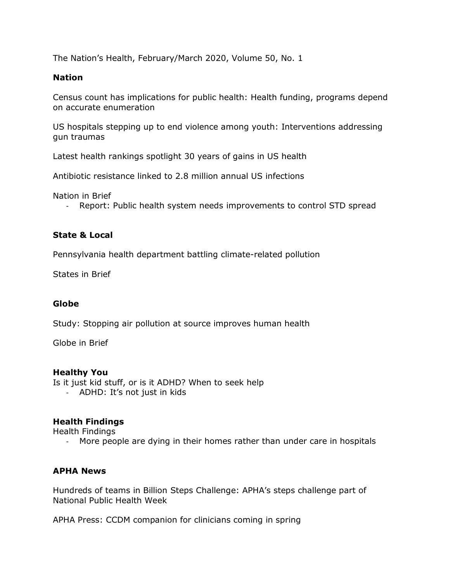The Nation's Health, February/March 2020, Volume 50, No. 1

#### **Nation**

Census count has implications for public health: Health funding, programs depend on accurate enumeration

US hospitals stepping up to end violence among youth: Interventions addressing gun traumas

Latest health rankings spotlight 30 years of gains in US health

Antibiotic resistance linked to 2.8 million annual US infections

Nation in Brief

- Report: Public health system needs improvements to control STD spread

## **State & Local**

Pennsylvania health department battling climate-related pollution

States in Brief

#### **Globe**

Study: Stopping air pollution at source improves human health

Globe in Brief

## **Healthy You**

Is it just kid stuff, or is it ADHD? When to seek help

- ADHD: It's not just in kids

## **Health Findings**

Health Findings

- More people are dying in their homes rather than under care in hospitals

## **APHA News**

Hundreds of teams in Billion Steps Challenge: APHA's steps challenge part of National Public Health Week

APHA Press: CCDM companion for clinicians coming in spring